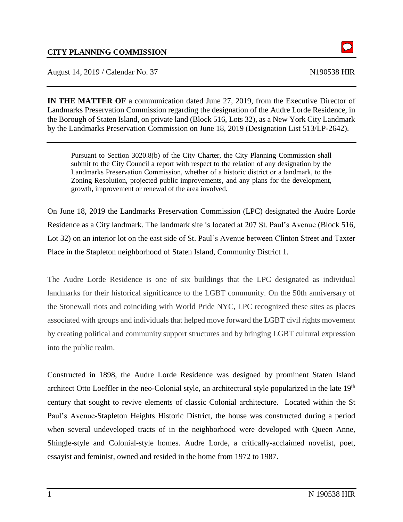August 14, 2019 / Calendar No. 37 N190538 HIR

 $\Omega$ 

**IN THE MATTER OF** a communication dated June 27, 2019, from the Executive Director of Landmarks Preservation Commission regarding the designation of the Audre Lorde Residence, in the Borough of Staten Island, on private land (Block 516, Lots 32), as a New York City Landmark by the Landmarks Preservation Commission on June 18, 2019 (Designation List 513/LP-2642).

Pursuant to Section 3020.8(b) of the City Charter, the City Planning Commission shall submit to the City Council a report with respect to the relation of any designation by the Landmarks Preservation Commission, whether of a historic district or a landmark, to the Zoning Resolution, projected public improvements, and any plans for the development, growth, improvement or renewal of the area involved.

On June 18, 2019 the Landmarks Preservation Commission (LPC) designated the Audre Lorde Residence as a City landmark. The landmark site is located at 207 St. Paul's Avenue (Block 516, Lot 32) on an interior lot on the east side of St. Paul's Avenue between Clinton Street and Taxter Place in the Stapleton neighborhood of Staten Island, Community District 1.

The Audre Lorde Residence is one of six buildings that the LPC designated as individual landmarks for their historical significance to the LGBT community. On the 50th anniversary of the Stonewall riots and coinciding with World Pride NYC, LPC recognized these sites as places associated with groups and individuals that helped move forward the LGBT civil rights movement by creating political and community support structures and by bringing LGBT cultural expression into the public realm.

Constructed in 1898, the Audre Lorde Residence was designed by prominent Staten Island architect Otto Loeffler in the neo-Colonial style, an architectural style popularized in the late 19<sup>th</sup> century that sought to revive elements of classic Colonial architecture. Located within the St Paul's Avenue-Stapleton Heights Historic District, the house was constructed during a period when several undeveloped tracts of in the neighborhood were developed with Queen Anne, Shingle-style and Colonial-style homes. Audre Lorde, a critically-acclaimed novelist, poet, essayist and feminist, owned and resided in the home from 1972 to 1987.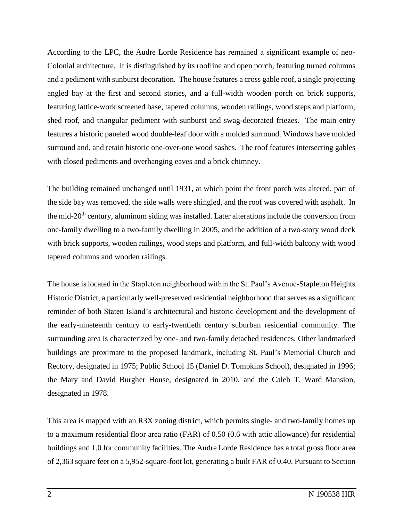According to the LPC, the Audre Lorde Residence has remained a significant example of neo-Colonial architecture. It is distinguished by its roofline and open porch, featuring turned columns and a pediment with sunburst decoration. The house features a cross gable roof, a single projecting angled bay at the first and second stories, and a full-width wooden porch on brick supports, featuring lattice-work screened base, tapered columns, wooden railings, wood steps and platform, shed roof, and triangular pediment with sunburst and swag-decorated friezes. The main entry features a historic paneled wood double-leaf door with a molded surround. Windows have molded surround and, and retain historic one-over-one wood sashes. The roof features intersecting gables with closed pediments and overhanging eaves and a brick chimney.

The building remained unchanged until 1931, at which point the front porch was altered, part of the side bay was removed, the side walls were shingled, and the roof was covered with asphalt. In the mid-20<sup>th</sup> century, aluminum siding was installed. Later alterations include the conversion from one-family dwelling to a two-family dwelling in 2005, and the addition of a two-story wood deck with brick supports, wooden railings, wood steps and platform, and full-width balcony with wood tapered columns and wooden railings.

The house is located in the Stapleton neighborhood within the St. Paul's Avenue-Stapleton Heights Historic District, a particularly well-preserved residential neighborhood that serves as a significant reminder of both Staten Island's architectural and historic development and the development of the early-nineteenth century to early-twentieth century suburban residential community. The surrounding area is characterized by one- and two-family detached residences. Other landmarked buildings are proximate to the proposed landmark, including St. Paul's Memorial Church and Rectory, designated in 1975; Public School 15 (Daniel D. Tompkins School), designated in 1996; the Mary and David Burgher House, designated in 2010, and the Caleb T. Ward Mansion, designated in 1978.

This area is mapped with an R3X zoning district, which permits single- and two-family homes up to a maximum residential floor area ratio (FAR) of 0.50 (0.6 with attic allowance) for residential buildings and 1.0 for community facilities. The Audre Lorde Residence has a total gross floor area of 2,363 square feet on a 5,952-square-foot lot, generating a built FAR of 0.40. Pursuant to Section